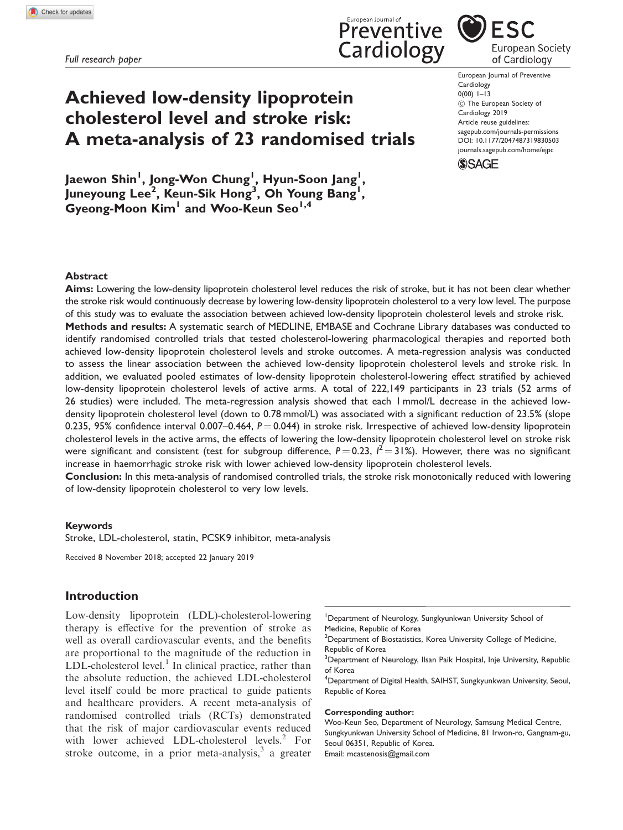Full research paper

# Achieved low-density lipoprotein cholesterol level and stroke risk: A meta-analysis of 23 randomised trials

Cardiology 0(00) 1–13 ! The European Society of Cardiology 2019 Article reuse guidelines: [sagepub.com/journals-permissions](https://uk.sagepub.com/en-gb/journals-permissions) DOI: [10.1177/2047487319830503](https://doi.org/10.1177/2047487319830503) <journals.sagepub.com/home/ejpc>

European Journal of Preventive



Jaewon Shin<sup>l</sup>, Jong-Won Chung<sup>l</sup>, Hyun-Soon Jang<sup>l</sup>, Juneyoung Lee<sup>2</sup>, Keun-Sik Hong<sup>3</sup>, Oh Young Bang<sup>1</sup>,  $Gyeone$ -Moon Kim<sup>1</sup> and Woo-Keun Seo<sup>1,4</sup>

## Abstract

Aims: Lowering the low-density lipoprotein cholesterol level reduces the risk of stroke, but it has not been clear whether the stroke risk would continuously decrease by lowering low-density lipoprotein cholesterol to a very low level. The purpose of this study was to evaluate the association between achieved low-density lipoprotein cholesterol levels and stroke risk. Methods and results: A systematic search of MEDLINE, EMBASE and Cochrane Library databases was conducted to identify randomised controlled trials that tested cholesterol-lowering pharmacological therapies and reported both achieved low-density lipoprotein cholesterol levels and stroke outcomes. A meta-regression analysis was conducted to assess the linear association between the achieved low-density lipoprotein cholesterol levels and stroke risk. In addition, we evaluated pooled estimates of low-density lipoprotein cholesterol-lowering effect stratified by achieved low-density lipoprotein cholesterol levels of active arms. A total of 222,149 participants in 23 trials (52 arms of 26 studies) were included. The meta-regression analysis showed that each 1 mmol/L decrease in the achieved lowdensity lipoprotein cholesterol level (down to 0.78 mmol/L) was associated with a significant reduction of 23.5% (slope 0.235, 95% confidence interval 0.007–0.464,  $P = 0.044$ ) in stroke risk. Irrespective of achieved low-density lipoprotein cholesterol levels in the active arms, the effects of lowering the low-density lipoprotein cholesterol level on stroke risk were significant and consistent (test for subgroup difference, P $=$  0.23,  $l^2$   $=$  31%). However, there was no significant increase in haemorrhagic stroke risk with lower achieved low-density lipoprotein cholesterol levels.

Conclusion: In this meta-analysis of randomised controlled trials, the stroke risk monotonically reduced with lowering of low-density lipoprotein cholesterol to very low levels.

### Keywords

Stroke, LDL-cholesterol, statin, PCSK9 inhibitor, meta-analysis

Received 8 November 2018; accepted 22 January 2019

## Introduction

Low-density lipoprotein (LDL)-cholesterol-lowering therapy is effective for the prevention of stroke as well as overall cardiovascular events, and the benefits are proportional to the magnitude of the reduction in LDL-cholesterol level. $<sup>1</sup>$  In clinical practice, rather than</sup> the absolute reduction, the achieved LDL-cholesterol level itself could be more practical to guide patients and healthcare providers. A recent meta-analysis of randomised controlled trials (RCTs) demonstrated that the risk of major cardiovascular events reduced with lower achieved LDL-cholesterol levels.<sup>2</sup> For stroke outcome, in a prior meta-analysis, $3$  a greater

4 Department of Digital Health, SAIHST, Sungkyunkwan University, Seoul, Republic of Korea

#### Corresponding author:

Woo-Keun Seo, Department of Neurology, Samsung Medical Centre, Sungkyunkwan University School of Medicine, 81 Irwon-ro, Gangnam-gu, Seoul 06351, Republic of Korea. Email: mcastenosis@gmail.com





<sup>&</sup>lt;sup>1</sup>Department of Neurology, Sungkyunkwan University School of Medicine, Republic of Korea

<sup>&</sup>lt;sup>2</sup>Department of Biostatistics, Korea University College of Medicine, Republic of Korea

<sup>&</sup>lt;sup>3</sup>Department of Neurology, Ilsan Paik Hospital, Inje University, Republic of Korea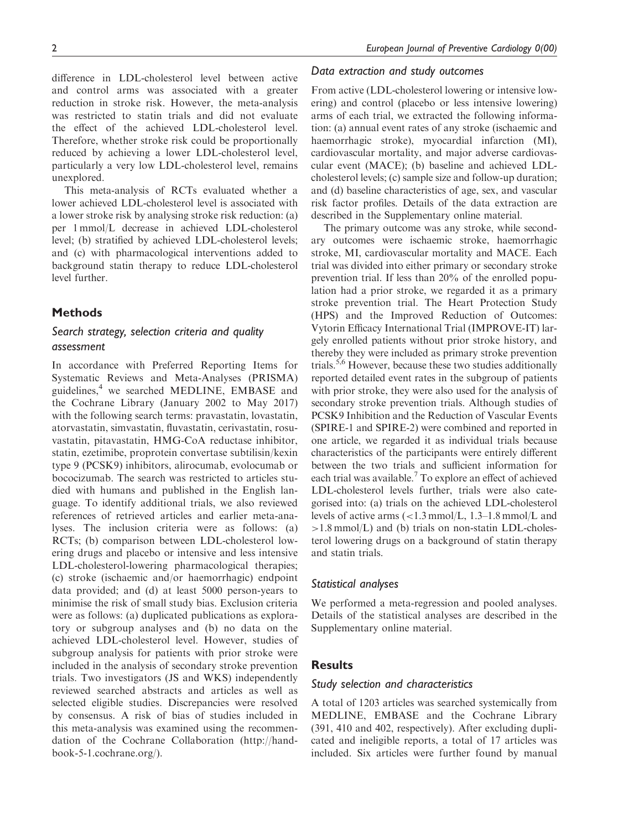difference in LDL-cholesterol level between active and control arms was associated with a greater reduction in stroke risk. However, the meta-analysis was restricted to statin trials and did not evaluate the effect of the achieved LDL-cholesterol level. Therefore, whether stroke risk could be proportionally reduced by achieving a lower LDL-cholesterol level, particularly a very low LDL-cholesterol level, remains

This meta-analysis of RCTs evaluated whether a lower achieved LDL-cholesterol level is associated with a lower stroke risk by analysing stroke risk reduction: (a) per 1 mmol/L decrease in achieved LDL-cholesterol level; (b) stratified by achieved LDL-cholesterol levels; and (c) with pharmacological interventions added to background statin therapy to reduce LDL-cholesterol level further.

# **Methods**

unexplored.

# Search strategy, selection criteria and quality assessment

In accordance with Preferred Reporting Items for Systematic Reviews and Meta-Analyses (PRISMA) guidelines,<sup>4</sup> we searched MEDLINE, EMBASE and the Cochrane Library (January 2002 to May 2017) with the following search terms: pravastatin, lovastatin, atorvastatin, simvastatin, fluvastatin, cerivastatin, rosuvastatin, pitavastatin, HMG-CoA reductase inhibitor, statin, ezetimibe, proprotein convertase subtilisin/kexin type 9 (PCSK9) inhibitors, alirocumab, evolocumab or bococizumab. The search was restricted to articles studied with humans and published in the English language. To identify additional trials, we also reviewed references of retrieved articles and earlier meta-analyses. The inclusion criteria were as follows: (a) RCTs; (b) comparison between LDL-cholesterol lowering drugs and placebo or intensive and less intensive LDL-cholesterol-lowering pharmacological therapies; (c) stroke (ischaemic and/or haemorrhagic) endpoint data provided; and (d) at least 5000 person-years to minimise the risk of small study bias. Exclusion criteria were as follows: (a) duplicated publications as exploratory or subgroup analyses and (b) no data on the achieved LDL-cholesterol level. However, studies of subgroup analysis for patients with prior stroke were included in the analysis of secondary stroke prevention trials. Two investigators (JS and WKS) independently reviewed searched abstracts and articles as well as selected eligible studies. Discrepancies were resolved by consensus. A risk of bias of studies included in this meta-analysis was examined using the recommendation of the Cochrane Collaboration [\(http://hand](http://handbook-5-1.cochrane.org/)[book-5-1.cochrane.org/\)](http://handbook-5-1.cochrane.org/).

## Data extraction and study outcomes

From active (LDL-cholesterol lowering or intensive lowering) and control (placebo or less intensive lowering) arms of each trial, we extracted the following information: (a) annual event rates of any stroke (ischaemic and haemorrhagic stroke), myocardial infarction (MI), cardiovascular mortality, and major adverse cardiovascular event (MACE); (b) baseline and achieved LDLcholesterol levels; (c) sample size and follow-up duration; and (d) baseline characteristics of age, sex, and vascular risk factor profiles. Details of the data extraction are described in the Supplementary online material.

The primary outcome was any stroke, while secondary outcomes were ischaemic stroke, haemorrhagic stroke, MI, cardiovascular mortality and MACE. Each trial was divided into either primary or secondary stroke prevention trial. If less than 20% of the enrolled population had a prior stroke, we regarded it as a primary stroke prevention trial. The Heart Protection Study (HPS) and the Improved Reduction of Outcomes: Vytorin Efficacy International Trial (IMPROVE-IT) largely enrolled patients without prior stroke history, and thereby they were included as primary stroke prevention trials.<sup>5,6</sup> However, because these two studies additionally reported detailed event rates in the subgroup of patients with prior stroke, they were also used for the analysis of secondary stroke prevention trials. Although studies of PCSK9 Inhibition and the Reduction of Vascular Events (SPIRE-1 and SPIRE-2) were combined and reported in one article, we regarded it as individual trials because characteristics of the participants were entirely different between the two trials and sufficient information for each trial was available.<sup>7</sup> To explore an effect of achieved LDL-cholesterol levels further, trials were also categorised into: (a) trials on the achieved LDL-cholesterol levels of active arms (<1.3 mmol/L, 1.3–1.8 mmol/L and  $>1.8$  mmol/L) and (b) trials on non-statin LDL-cholesterol lowering drugs on a background of statin therapy and statin trials.

## Statistical analyses

We performed a meta-regression and pooled analyses. Details of the statistical analyses are described in the Supplementary online material.

## **Results**

## Study selection and characteristics

A total of 1203 articles was searched systemically from MEDLINE, EMBASE and the Cochrane Library (391, 410 and 402, respectively). After excluding duplicated and ineligible reports, a total of 17 articles was included. Six articles were further found by manual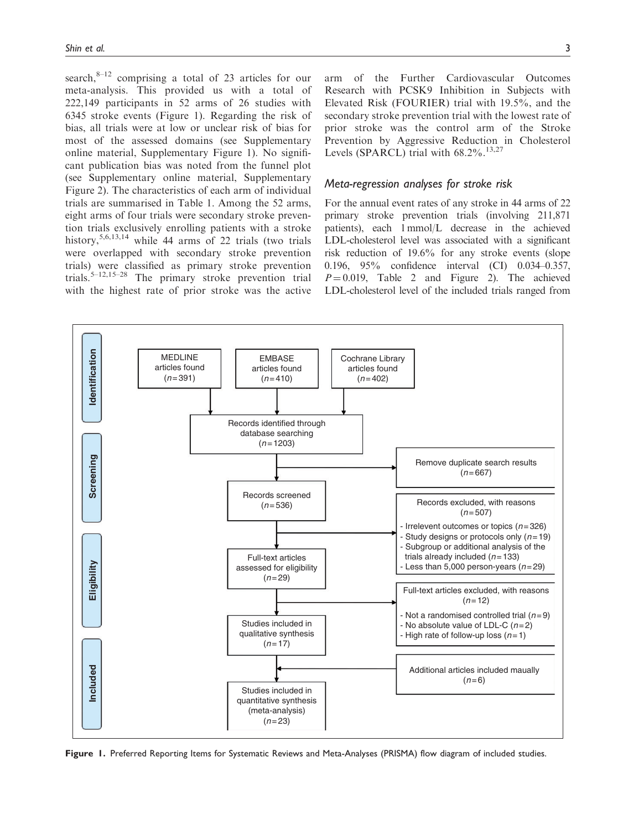search, $8-12$  comprising a total of 23 articles for our meta-analysis. This provided us with a total of 222,149 participants in 52 arms of 26 studies with 6345 stroke events (Figure 1). Regarding the risk of bias, all trials were at low or unclear risk of bias for most of the assessed domains (see Supplementary online material, Supplementary Figure 1). No significant publication bias was noted from the funnel plot (see Supplementary online material, Supplementary Figure 2). The characteristics of each arm of individual trials are summarised in Table 1. Among the 52 arms, eight arms of four trials were secondary stroke prevention trials exclusively enrolling patients with a stroke history,  $5,6,13,14$  while 44 arms of 22 trials (two trials were overlapped with secondary stroke prevention trials) were classified as primary stroke prevention trials.5–12,15–28 The primary stroke prevention trial with the highest rate of prior stroke was the active

arm of the Further Cardiovascular Outcomes Research with PCSK9 Inhibition in Subjects with Elevated Risk (FOURIER) trial with 19.5%, and the secondary stroke prevention trial with the lowest rate of prior stroke was the control arm of the Stroke Prevention by Aggressive Reduction in Cholesterol Levels (SPARCL) trial with  $68.2\%$ .<sup>13,27</sup>

# Meta-regression analyses for stroke risk

For the annual event rates of any stroke in 44 arms of 22 primary stroke prevention trials (involving 211,871 patients), each 1 mmol/L decrease in the achieved LDL-cholesterol level was associated with a significant risk reduction of 19.6% for any stroke events (slope 0.196, 95% confidence interval (CI) 0.034–0.357,  $P = 0.019$ , Table 2 and Figure 2). The achieved LDL-cholesterol level of the included trials ranged from



Figure 1. Preferred Reporting Items for Systematic Reviews and Meta-Analyses (PRISMA) flow diagram of included studies.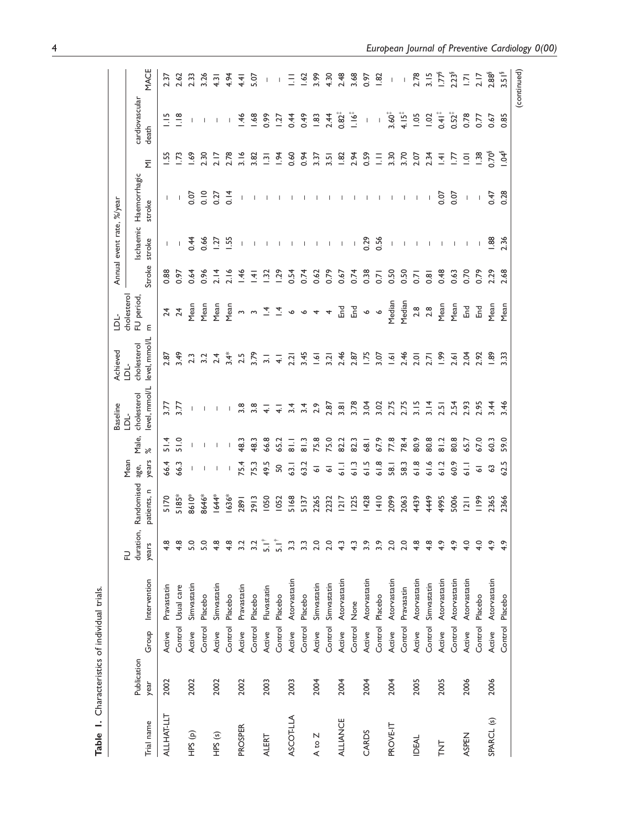|                       |                     |         |              |                         |                           |                       |                | <b>Baseline</b>                      | Achieved                             | -TOT                           |                  | Annual event rate, %/year |                        |                    |                                                                                                                                                                                                                                                                                                                                                                                  |                   |
|-----------------------|---------------------|---------|--------------|-------------------------|---------------------------|-----------------------|----------------|--------------------------------------|--------------------------------------|--------------------------------|------------------|---------------------------|------------------------|--------------------|----------------------------------------------------------------------------------------------------------------------------------------------------------------------------------------------------------------------------------------------------------------------------------------------------------------------------------------------------------------------------------|-------------------|
| Trial name            | Publication<br>year | Group   | Intervention | duration,<br>years<br>근 | Randomised<br>patients, n | years<br>Mean<br>age, | Male,<br>৯ৎ    | level, mmol/L<br>cholesterol<br>-TCT | level, mmol/L<br>cholesterol<br>-TOT | cholesterol<br>FU period,<br>Ε | Stroke           | schaemic<br>stroke        | Haemorrhagic<br>stroke | Ξ                  | cardiovascular<br>death                                                                                                                                                                                                                                                                                                                                                          | MACE              |
| <b>ALLHAT-LLT</b>     | 2002                | Active  | Pravastatin  | $4.\overline{8}$        | 5170                      | 66.4                  | $\frac{4}{5}$  | 3.77                                 | 2.87                                 | $\overline{24}$                | 0.88             | Т                         | T                      | $\ddot{5}$         | $\frac{15}{2}$                                                                                                                                                                                                                                                                                                                                                                   | 2.37              |
|                       |                     | Control | Usual care   | $4.\overline{8}$        | 5185*                     | 66.3                  | $\frac{0}{5}$  | 3.77                                 | 3.49                                 | $\overline{24}$                | 0.97             |                           | 1                      | $\overline{13}$    | $\frac{8}{1}$                                                                                                                                                                                                                                                                                                                                                                    | 2.62              |
| HPS (p)               | 2002                | Active  | Simvastatin  | 5.0                     | 8610*                     |                       |                |                                      | 2.3                                  | Mean                           | 0.64             | 0.44                      | 0.07                   | 1.69               |                                                                                                                                                                                                                                                                                                                                                                                  | 2.33              |
|                       |                     | Control | Placebo      | 5.0                     | 8646*                     |                       |                |                                      | 3.2                                  | Mean                           | 0.96             | 0.66                      | 0.10                   | 2.30               |                                                                                                                                                                                                                                                                                                                                                                                  | 3.26              |
| HPS <sub>(s)</sub>    | 2002                | Active  | Simvastatin  | 4.8                     | $1644*$                   |                       |                |                                      | 2.4                                  | Mean                           | 2.14             | Ľč.                       | 0.27                   | 2.17               | I                                                                                                                                                                                                                                                                                                                                                                                | $\overline{3}$    |
|                       |                     | Control | Placebo      | $4.\overline{8}$        | 1636*                     |                       |                |                                      | $3.4*$                               | Mean                           | 2.16             | 5g                        | 0.14                   | 2.78               | $\mathbf{I}$                                                                                                                                                                                                                                                                                                                                                                     | 4.94              |
| <b>PROSPER</b>        | 2002                | Active  | Pravastatin  |                         | 2891                      | 75.4                  | 48.3           | 3.8                                  | 2.5                                  | $\sim$                         | 1.46             |                           | I                      | 3.16               | 1.46                                                                                                                                                                                                                                                                                                                                                                             | $rac{4}{4}$       |
|                       |                     | Control | Placebo      | 3.2                     | 2913                      | 75.3                  | 48.3           | 3.8                                  | 3.79                                 | $\sim$                         | $\overline{141}$ |                           |                        | 3.82               | 1.68                                                                                                                                                                                                                                                                                                                                                                             | 5.07              |
| ALERT                 | 2003                | Active  | Fluvastatin  | $\frac{1}{2}$           | 1050                      | 49.5                  | 66.8           | ₹                                    | $\overline{\mathfrak{Z}}$            | ᠇ᢩ                             | $\overline{32}$  |                           | Т                      | $\overline{2}$     | 0.99                                                                                                                                                                                                                                                                                                                                                                             |                   |
|                       |                     | Control | Placebo      | $\overline{5}$          | I052                      | SO                    | 65.2           | ₹                                    | $\frac{1}{4}$                        | $\vec{A}$                      | 1.29             |                           |                        | $\frac{1}{2}$      | $\frac{27}{2}$                                                                                                                                                                                                                                                                                                                                                                   |                   |
| <b>ASCOT-LLA</b>      | 2003                | Active  | Atoryastatin | $3.\overline{3}$        | 5168                      | $-63.1$               | $\frac{1}{10}$ | 3.4                                  | 2.21                                 | $\sim$                         | 0.54             |                           |                        | 0.60               | 0.44                                                                                                                                                                                                                                                                                                                                                                             | Ξ                 |
|                       |                     | Control | Placebo      |                         | 5137                      | 63.2                  | $\frac{3}{8}$  | 3.4                                  | 3.45                                 | $\sim$                         | 0.74             |                           |                        | 0.94               | 649                                                                                                                                                                                                                                                                                                                                                                              | $\ddot{3}$        |
| A to Z                | 2004                | Active  | Simvastatin  | 2.0                     | 2265                      | $\overline{\circ}$    | 75.8           | 2.9                                  | $\overline{5}$                       |                                | 0.62             |                           |                        | 3.37               | 1.83                                                                                                                                                                                                                                                                                                                                                                             | 3.99              |
|                       |                     | Control | Simvastatin  | 2.0                     | 2232                      | 5                     | 75.0           | 2.87                                 | 3.21                                 | 4                              | 0.79             | $\mathsf{I}$              |                        | $\overline{3.5}$   | 2.44                                                                                                                                                                                                                                                                                                                                                                             | 4.30              |
| ALLIANCE              | 2004                | Active  | Atoryastatin | 4.3                     | 1217                      | $\frac{1}{9}$         | 82.2           | 3.81                                 | 2.46                                 | 덞                              | 0.67             | T                         |                        | 1.82               | $0.82^{4}$                                                                                                                                                                                                                                                                                                                                                                       | 2.48              |
|                       |                     | Control | None         | 4.3                     | 1225                      | 61.3                  | 82.3           | 3.78                                 | 2.87                                 | 돊                              | 0.74             | $\overline{\phantom{a}}$  |                        | 2.94               | $\frac{1}{2}$                                                                                                                                                                                                                                                                                                                                                                    | 3.68              |
| CARDS                 | 2004                | Active  | Atoryastatin | $3.\overline{9}$        | 1428                      | 61.5                  | 68.1           | 3.04                                 | 1.75                                 | $\bullet$                      | 0.38             | 0.29                      |                        | 0.59               | $\begin{array}{c} \rule{0pt}{2.5ex} \rule{0pt}{2.5ex} \rule{0pt}{2.5ex} \rule{0pt}{2.5ex} \rule{0pt}{2.5ex} \rule{0pt}{2.5ex} \rule{0pt}{2.5ex} \rule{0pt}{2.5ex} \rule{0pt}{2.5ex} \rule{0pt}{2.5ex} \rule{0pt}{2.5ex} \rule{0pt}{2.5ex} \rule{0pt}{2.5ex} \rule{0pt}{2.5ex} \rule{0pt}{2.5ex} \rule{0pt}{2.5ex} \rule{0pt}{2.5ex} \rule{0pt}{2.5ex} \rule{0pt}{2.5ex} \rule{0$ | 0.97              |
|                       |                     | Control | Placebo      | 3.9                     | 1410                      | 61.8                  | 67.9           | 3.02                                 | 3.07                                 | $\circ$                        | 0.71             | 0.56                      |                        | Ξ                  | $\,$ $\,$                                                                                                                                                                                                                                                                                                                                                                        | $\overline{8}$    |
| PROVE-IT              | 2004                | Active  | Atoryastatin | 2.0                     | 2099                      | 58.1                  | 77.8           | 2.75                                 | 1.61                                 | Median                         | 0.50             | $\mathbf{I}$              |                        | 3.30               | $3.60^{3}$                                                                                                                                                                                                                                                                                                                                                                       | $\mathsf I$       |
|                       |                     | Control | Pravasatin   | 2.0                     | 2063                      | 58.3                  | 78.4           | 2.75                                 | 2.46                                 | Median                         | 0.50             |                           |                        | 3.70               | 4.15                                                                                                                                                                                                                                                                                                                                                                             | $\mathbf{I}$      |
| <b>IDEAL</b>          | 2005                | Active  | Atoryastatin | $4.\overline{8}$        | 4439                      | 61.8                  | 80.9           | 3.15                                 | 2.01                                 | 2.8                            | 0.71             |                           | I                      | 2.07               | 1.05                                                                                                                                                                                                                                                                                                                                                                             | 2.78              |
|                       |                     | Control | Simvastatin  | $4.\overline{8}$        | 4449                      | 61.6                  | 80.8           | 3.14                                 | 2.71                                 | 2.8                            | 0.81             |                           |                        | 2.34               | 1.02                                                                                                                                                                                                                                                                                                                                                                             | $\frac{15}{21}$   |
| <b>INL</b>            | 2005                | Active  | Atoryastatin | $\ddot{ }$              | 4995                      | 61.2                  | 81.2           | 2.51                                 | <b>661</b>                           | Mean                           | 0.48             |                           | 0.07                   | $\overline{4}$     | $0.41*$                                                                                                                                                                                                                                                                                                                                                                          | ا 77°.            |
|                       |                     | Control | Atorvastatin | 4.9                     | 5006                      | 60.9                  | 80.8           | 2.54                                 | 2.61                                 | Mean                           | 0.63             |                           | 0.07                   | E                  | $0.52^{4}$                                                                                                                                                                                                                                                                                                                                                                       | 2.23 <sup>6</sup> |
| ASPEN                 | 2006                | Active  | Atoryastatin | 4.0                     | $\overline{2}$            | $\overline{6}$        | 65.7           | 2.93                                 | 2.04                                 | 덡                              | 0.70             | $\overline{\phantom{a}}$  | $\sf I$                | $\overline{S}$     | 0.78                                                                                                                                                                                                                                                                                                                                                                             | $\bar{z}$         |
|                       |                     | Control | Placebo      | 4.0                     | 1199                      | $\overline{\circ}$    | 67.0           | 2.95                                 | 2.92                                 | <b>End</b>                     | 0.79             |                           |                        | 1.38               | 0.77                                                                                                                                                                                                                                                                                                                                                                             | 2.17              |
| SPARCL <sub>(S)</sub> | 2006                | Active  | Atorvastatin | 4.9                     | 2365                      | S                     | 60.3           | 3.44                                 | 1.89                                 | Mean                           | 2.29             | .88                       | 0.47                   | 0.70 <sup>\$</sup> | 0.67                                                                                                                                                                                                                                                                                                                                                                             | 2.88 <sup>5</sup> |
|                       |                     | Control | Placebo      | 4.9                     | 2366                      | 62.5                  | 59.0           | 3.46                                 | 3.33                                 | Mean                           | 2.68             | 2.36                      | 0.28                   | $\sum_{i=1}^{n}$   | 0.85                                                                                                                                                                                                                                                                                                                                                                             | 3.51 <sup>8</sup> |
|                       |                     |         |              |                         |                           |                       |                |                                      |                                      |                                |                  |                           |                        |                    |                                                                                                                                                                                                                                                                                                                                                                                  | (continued)       |

Table 1. Characteristics of individual trials. Table 1. Characteristics of individual trials.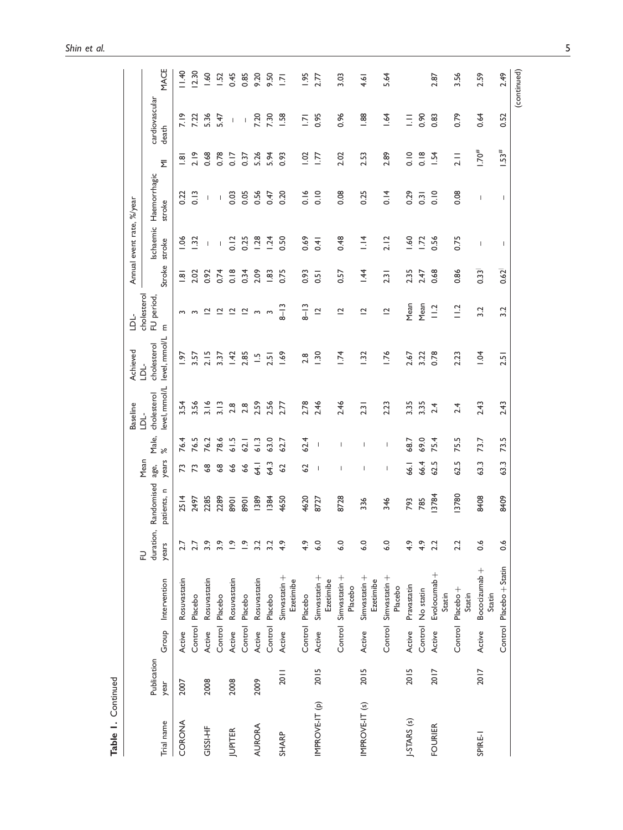|                |             |         |                                  |                |             |                                                                                                                                                                                                                                                                                                                                                                                  |                          | <b>Baseline</b>     | Achieved            | 심                         |                        | Annual event rate, %/year |                          |               |                |             |
|----------------|-------------|---------|----------------------------------|----------------|-------------|----------------------------------------------------------------------------------------------------------------------------------------------------------------------------------------------------------------------------------------------------------------------------------------------------------------------------------------------------------------------------------|--------------------------|---------------------|---------------------|---------------------------|------------------------|---------------------------|--------------------------|---------------|----------------|-------------|
|                | Publication |         |                                  | duration,<br>근 | Randomised  | Mean                                                                                                                                                                                                                                                                                                                                                                             | Male,                    | cholesterol<br>LDL- | cholesterol<br>-lQL | cholesterol<br>FU period, |                        | schaemic                  | Haemorrhagic             |               | cardiovascular |             |
| Trial name     | year        | Group   | Intervention                     | years          | patients, n | years<br>age,                                                                                                                                                                                                                                                                                                                                                                    | ৯ৎ                       | level, mmol/L       | level, mmol/L       | Ε                         | Stroke                 | stroke                    | stroke                   | Σ             | death          | MACE        |
| CORONA         | 2007        | Active  | Rosuvastatin                     |                | 2514        | 73                                                                                                                                                                                                                                                                                                                                                                               | 76.4                     | 3.54                | Ş                   | $\sim$                    | $\frac{\infty}{\cdot}$ | 06                        | 0.22                     | $\frac{1}{2}$ | 7.19           | 11.40       |
|                |             |         | Control Placebo                  |                | 2497        |                                                                                                                                                                                                                                                                                                                                                                                  | 76.5                     | 3.56                | 3.57                | 3                         | 2.02                   | č                         | $\frac{3}{2}$            | 2.19          | 7.22           | 12.30       |
| GISSI-HF       | 2008        | Active  | Rosuvastatin                     | 3.9            | 2285        | $\frac{8}{2}$                                                                                                                                                                                                                                                                                                                                                                    | 76.2                     | 3.16                | 2.15                | ≃                         | 0.92                   | $\mathbf{I}$              | $\mathsf I$              | 0.68          | 5.36           | 09.1        |
|                |             | Control | Placebo                          | 3.9            | 2289        | $\frac{8}{6}$                                                                                                                                                                                                                                                                                                                                                                    | 78.6                     | 3.13                | 3.37                | $\bar{c}$                 | 0.74                   | $\,$ $\,$                 | $\overline{\phantom{a}}$ | 0.78          | 5.47           | 1.52        |
| <b>JUPITER</b> | 2008        | Active  | Rosuvastatin                     | $\tilde{c}$    | 1068        | 66                                                                                                                                                                                                                                                                                                                                                                               | 61.5                     | 2.8                 | 1.42                | $\overline{\mathbf{C}}$   | 0.18                   | 0.12                      | 0.03                     | 0.17          | $\mathsf I$    | 0.45        |
|                |             |         | Control Placebo                  | $\tilde{c}$    | 8901        | \$9                                                                                                                                                                                                                                                                                                                                                                              | 62.1                     | 2.8                 | 2.85                | $\tilde{ }$               | 0.34                   | 0.25                      | 0.05                     | 0.37          | $\mathsf I$    | 0.85        |
| <b>AURORA</b>  | 2009        | Active  | Rosuvastatin                     | 3.2            | 1389        | 54.1                                                                                                                                                                                                                                                                                                                                                                             | 61.3                     | 2.59                | $\bar{u}$           | $\sim$                    | 2.09                   | 1.28                      | 0.56                     | 5.26          | 7.20           | 9.20        |
|                |             |         | Control Placebo                  |                | 1384        | \$4.3                                                                                                                                                                                                                                                                                                                                                                            | 63.0                     | 2.56                | 2.5                 | $\sim$                    | 1.83                   | 1.24                      | 0.47                     | 5.94          | 7.30           | 9.50        |
| SHARP          | 2011        | Active  | Simvastatin +<br>Ezetimibe       | $\frac{4}{3}$  | 4650        | 62                                                                                                                                                                                                                                                                                                                                                                               | 62.7                     | 2.77                | 1.69                | $8 - 13$                  | 0.75                   | 0.50                      | 0.20                     | 0.93          | I.58           | $\bar{2}$   |
|                |             |         | Control Placebo                  | 4.9            | 4620        | 62                                                                                                                                                                                                                                                                                                                                                                               | 62.4                     | 2.78                | 2.8                 | $8 - 13$                  | 0.93                   | 0.69                      | 0.16                     | 1.02          | $\overline{5}$ | 1.95        |
| IMPROVE-IT (p) | 2015        | Active  | Simvastatin +<br>Ezetimibe       | $\frac{0}{6}$  | 8727        | $\overline{\phantom{a}}$                                                                                                                                                                                                                                                                                                                                                         | $\overline{\phantom{a}}$ | 2.46                | <b>1.30</b>         | $\overline{a}$            | $\overline{5}$         | 0.41                      | $\frac{0}{0}$            | 1.77          | 0.95           | 2.77        |
|                |             |         | Control Simvastatin +<br>Placebo | $\frac{0}{6}$  | 8728        | $\mathbf{I}$                                                                                                                                                                                                                                                                                                                                                                     | 1                        | 2.46                | 1.74                | $\overline{C}$            | 0.57                   | 0.48                      | 0.08                     | 2.02          | 0.96           | 3.03        |
| IMPROVE-IT (s) | 2015        | Active  | $Simvasion +$<br>Ezetimibe       | $\frac{0}{6}$  | 336         | $\begin{array}{c} \rule{0pt}{2.5ex} \rule{0pt}{2.5ex} \rule{0pt}{2.5ex} \rule{0pt}{2.5ex} \rule{0pt}{2.5ex} \rule{0pt}{2.5ex} \rule{0pt}{2.5ex} \rule{0pt}{2.5ex} \rule{0pt}{2.5ex} \rule{0pt}{2.5ex} \rule{0pt}{2.5ex} \rule{0pt}{2.5ex} \rule{0pt}{2.5ex} \rule{0pt}{2.5ex} \rule{0pt}{2.5ex} \rule{0pt}{2.5ex} \rule{0pt}{2.5ex} \rule{0pt}{2.5ex} \rule{0pt}{2.5ex} \rule{0$ | I                        | 2.31                | 1.32                | $\overline{a}$            | 1.44                   | $\frac{4}{1}$             | 0.25                     | 2.53          | 1.88           | 4.61        |
|                |             |         | Control Simvastatin +<br>Placebo | $\frac{0}{6}$  | 346         | $\overline{\phantom{a}}$                                                                                                                                                                                                                                                                                                                                                         | $\overline{\phantom{a}}$ | 2.23                | 1.76                | $\overline{c}$            | 2.31                   | 2.12                      | 0.14                     | 2.89          | 1.64           | 5.64        |
| J-STARS (s)    | 2015        | Active  | Pravastatin                      | 4.9            | 793         | 66.1                                                                                                                                                                                                                                                                                                                                                                             | 68.7                     | 3.35                | 2.67                | Mean                      | 2.35                   | .60                       | 0.29                     | $\frac{0}{0}$ | Ξ              |             |
|                |             |         | Control No statin                | 4.9            | 785         | 66.4                                                                                                                                                                                                                                                                                                                                                                             | 69.0                     | 3.35                | 3.22                | Mean                      | 2.47                   | 1.72                      | 0.31                     | 0.18          | 0.90           |             |
| <b>FOURIER</b> | 2017        | Active  | Evolocumab +<br>Statin           | 22             | 13784       | 62.5                                                                                                                                                                                                                                                                                                                                                                             | 75.4                     | 2.4                 | 0.78                | $\frac{12}{1}$            | 0.68                   | 0.56                      | 0.10                     | 1.54          | 0.83           | 2.87        |
|                |             |         | Control Placebo+<br>Statin       | 2.2            | 3780        | 62.5                                                                                                                                                                                                                                                                                                                                                                             | 75.5                     | 2.4                 | 2.23                | $\frac{1}{2}$             | 0.86                   | 0.75                      | 0.08                     | 2.11          | 0.79           | 3.56        |
| SPIRE-I        | 2017        | Active  | Bococizumab +<br>Statin          | $\frac{6}{1}$  | 8408        | 63.3                                                                                                                                                                                                                                                                                                                                                                             | 73.7                     | 2.43                | $\overline{5}$      | 3.2                       | 0.33                   | I                         | I                        | $1.70^{#}$    | 0.64           | 2.59        |
|                |             |         | Control Placebo + Statin         | 0.6            | 8409        | 63.3                                                                                                                                                                                                                                                                                                                                                                             | 73.5                     | 2.43                | 2.51                | 3.2                       | 0.62                   | $\overline{1}$            | $\mathbf{I}$             | 1.53#         | 0.52           | 2.49        |
|                |             |         |                                  |                |             |                                                                                                                                                                                                                                                                                                                                                                                  |                          |                     |                     |                           |                        |                           |                          |               |                | (continued) |

Table 1. Continued Table 1. Continued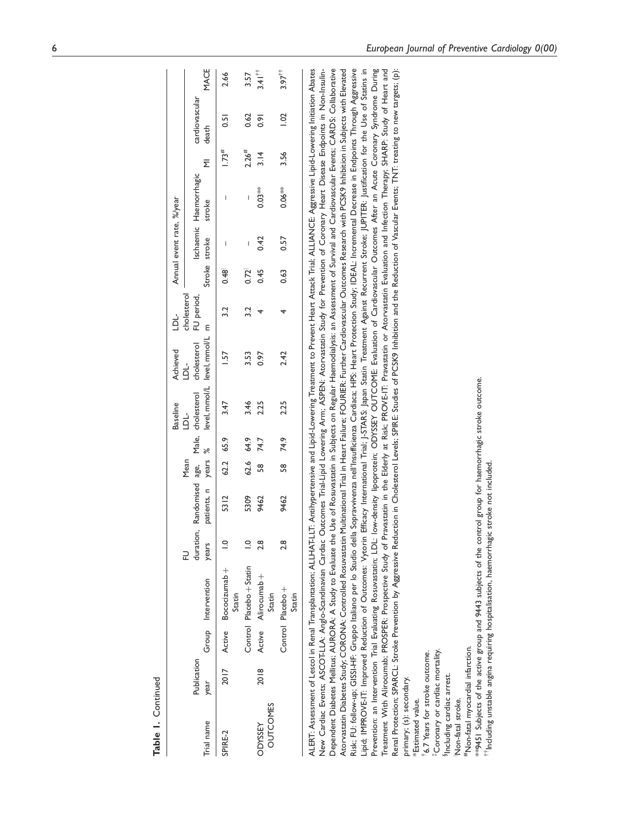|                                   |                     |                                                                                                                                                                                                                                                                                                                                                                                                                                                                                                                                                                                                       |                |                     |           |      | <b>Baseline</b>                                          | Achieved                                                 | ناما                      |               | Annual event rate, %/year |                                  |                     |                         |                         |
|-----------------------------------|---------------------|-------------------------------------------------------------------------------------------------------------------------------------------------------------------------------------------------------------------------------------------------------------------------------------------------------------------------------------------------------------------------------------------------------------------------------------------------------------------------------------------------------------------------------------------------------------------------------------------------------|----------------|---------------------|-----------|------|----------------------------------------------------------|----------------------------------------------------------|---------------------------|---------------|---------------------------|----------------------------------|---------------------|-------------------------|-------------------------|
| Trial name                        | Publication<br>year | Group Intervention                                                                                                                                                                                                                                                                                                                                                                                                                                                                                                                                                                                    | years<br>근     | patients, n years % | Mean      |      | duration, Randomised age, Male, cholesterol<br><u>نە</u> | level, mmol/L level, mmol/L m<br>cholesterol<br>نا<br>جا | cholesterol<br>FU period, | Stroke stroke |                           | Ischaemic Haemorrhagic<br>stroke | $\overline{\Sigma}$ | cardiovascular<br>death | <b>MACE</b>             |
| SPIRE-2                           | $\frac{7}{201}$     | Active Bococizumab+<br>Statin                                                                                                                                                                                                                                                                                                                                                                                                                                                                                                                                                                         | $\frac{1}{2}$  | 5312                | 62.2 65.9 |      | 3.47                                                     | $\overline{57}$                                          | 32                        | 0.48          |                           |                                  | 1.73#               | 5                       | 2.66                    |
|                                   |                     | Control Placebo + Statin                                                                                                                                                                                                                                                                                                                                                                                                                                                                                                                                                                              | $\overline{a}$ | 5309                | 62.6 64.9 |      | 3.46                                                     | 3.53                                                     | 3.2                       | 0.72          | I                         | $\overline{\phantom{a}}$         | 2.26#               | 0.62                    | 3.57                    |
| <b>OUTCOMES</b><br><b>ODYSSEY</b> | 2018                | Active Alirocumab +<br>Statin                                                                                                                                                                                                                                                                                                                                                                                                                                                                                                                                                                         | $\frac{8}{2}$  | 9462                | 58<br>58  | 74.7 | 2.25                                                     | 0.97                                                     |                           | 0.45          | 0.42                      | $0.03**$                         | $\frac{4}{3}$       | $\overline{6}$          | $3.41$ <sup>11</sup>    |
|                                   |                     | Control Placebo+<br>Statin                                                                                                                                                                                                                                                                                                                                                                                                                                                                                                                                                                            | 2.8            | 9462                | 58 74.9   |      | 2.25                                                     | 2.42                                                     |                           | 0.63          | 0.57                      | $0.06**$                         | 3.56                | $\approx$               | $3.97^{\dagger\dagger}$ |
|                                   |                     | Dependent Diabetes Mellitus; AURORA: A Study to Evaluate the Use of Rosuvastatin in Subjects on Regular Haemodialysis: an Assessment of Survival and Cardiovascular Events; CARDS: Collaborative<br>ALERT: Assessment of Lescol in Renal Transplantation; ALLHAT-LLT: Antihypertensive and Lipid-Lowering Treatment to Prevent Heart Attack Trial: ALLIANCE: Aggressive Lipid-Lowering Initiation Abates<br>New Cardiac Events; ASCOT-LLA: Anglo-Scandinavian Cardiac Outcomes Trial-Lipid Lowering Arm; ASPEN: Atorvastatin Study for Prevention of Coronary Heart Disease Endpoints in Non-Insulin- |                |                     |           |      |                                                          |                                                          |                           |               |                           |                                  |                     |                         |                         |

Table 1. Continued

Table I. Continued

Risk; FU: follow-up; GISSI-HF: Gruppo Italiano per lo Studio della Sopravivenza nell'Insufficienza Cardaca; HPS: Heart Protection Study; IDEAL: Incremental Decrease in Endpoints Through Aggressive Lipid; IMPROVE-IT: Improved Reduction of Outcomes: Vytorin Efficacy International Trial; J-STARS: Japan Statin Treatment Against Recurrent Stroke; JUPITER: Justification for the Use of Statins in Atorvastatin Diabetes Study; CORONA: Controlled Rosuvastatin Multinational Trial in Heart Failure; FOURIER: Further Cardiovascular Outcomes Research with PCSK9 Inhibition in Subjects with Elevated Prevention: an Intervention Trial Evaluating Rosuvastatin; LDL: low-density lipoprotein; ODYSSEY OUTCOME: Evaluation of Cardiovascular Outcomes After an Acute Coronary Syndrome During Treatment With Alirocumab; PROSPER: Prospective Study of Pravastatin in the Elderly at Risk; PROVE-IT: Pravastatin or Atorvastatin Evaluation and Infection Therapy; SHARP: Study of Heart and Atorvastatin Diabetes Study; CORONA: Controlled Rosuvastatin Multinational Trial in Heart Failure; FOURIER: Further Cardiovascular Outcomes Research with PCSK9 Inhibition in Subjects with Elevated Risk; FU: follow-up; GISSI-HF: Gruppo Italiano per lo Studio della Sopravvivenza nell'Insufficienza Cardiaca; HPS: Heart Protection Study; IDEAL: Incremental Decrease in Endpoints Through Aggressive Lipid; IMPROVE-IT: Improved Reduction of Outcomes: Vytorin Efficacy International Trial; J-STARS: Japan Statin Treatment Against Recurrent Stroke; JUPITER: Justification for the Use of Statins in Prevention: an Intervention Trial Evaluating Rosuvastatin; LDL: low-density lipoprotein; ODYSSEY OUTCOME: Evaluation of Cardiovascular Outcomes After an Acute Coronary Syndrome During Treatment With Alirocumab; PROSPER: Prospective Study of Pravastatin in the Elderly at Risk; PROVE-IT: Pravastatin or Atorvastatin Evaluation and Infection Therapy; SHARP: Study of Heart and Renal Protection; SPARCL: Stroke Prevention by Aggressive Reduction in Cholesterol Levels; SPIRE: Studies of PCSK9 Inhibition and the Reduction of Vascular Events; TNT: treating to new targets; (p): Renal Protection; SPARCL: Stroke Prevention by Aggressive Reduction in Cholesterol Levels; SPIRE: Studies of PCSK9 Inhibition and the Reduction of Vascular Events; TNT: treating to new targets; (p): primary; (s): secondary. primary; (s): secondary.

Estimated value. \*Estimated value.

<sup>t</sup>6.7 Years for stroke outcome. 6.7 Years for stroke outcome.

Coronary or cardiac mortality. Coronary or cardiac mortality.

<sup>§</sup>Including cardiac arrest. §Including cardiac arrest.

INon-fatal stroke. Non-fatal stroke.

\*Non-fatal myocardial infarction. #Non-fatal myocardial infarction.

exp451 Subjects of the active group and 9443 subjects of the control group for haemorrhagic stroke outcome. \*\*9451 Subjects of the active group and 9443 subjects of the control group for haemorrhagic stroke outcome.

<sup>+</sup>Including unstable angina requiring hospitalisation, haemorrhagic stroke not included.  $^{t\agger}$ Including unstable angina requiring hospitalisation, haemorrhagic stroke not included.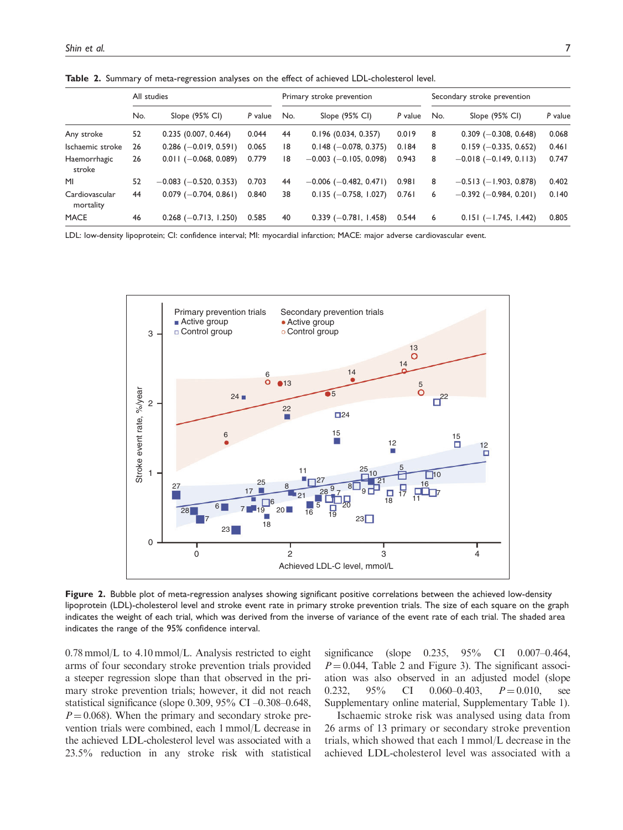|                             |     | All studies                  |         |     | Primary stroke prevention    |         |     | Secondary stroke prevention  |         |
|-----------------------------|-----|------------------------------|---------|-----|------------------------------|---------|-----|------------------------------|---------|
|                             | No. | Slope (95% CI)               | P value | No. | Slope (95% CI)               | P value | No. | Slope (95% CI)               | P value |
| Any stroke                  | 52  | 0.235(0.007, 0.464)          | 0.044   | 44  | 0.196(0.034, 0.357)          | 0.019   | 8   | $0.309$ (-0.308, 0.648)      | 0.068   |
| Ischaemic stroke            | 26  | $0.286$ (-0.019, 0.591)      | 0.065   | 18  | $0.148$ (-0.078, 0.375)      | 0.184   | 8   | $0.159$ (-0.335, 0.652)      | 0.461   |
| Haemorrhagic<br>stroke      | 26  | $0.011 (-0.068, 0.089)$      | 0.779   | 18  | $-0.003$ ( $-0.105$ , 0.098) | 0.943   | 8   | $-0.018$ (-0.149, 0.113)     | 0.747   |
| MI                          | 52  | $-0.083$ ( $-0.520$ , 0.353) | 0.703   | 44  | $-0.006$ ( $-0.482$ , 0.471) | 0.981   | 8   | $-0.513$ ( $-1.903$ , 0.878) | 0.402   |
| Cardiovascular<br>mortality | 44  | $0.079$ (-0.704, 0.861)      | 0.840   | 38  | $0.135 (-0.758, 1.027)$      | 0.761   | 6   | $-0.392$ ( $-0.984$ , 0.201) | 0.140   |
| <b>MACE</b>                 | 46  | $0.268$ (-0.713, 1.250)      | 0.585   | 40  | $0.339$ (-0.781, 1.458)      | 0.544   | 6   | $0.151 (-1.745, 1.442)$      | 0.805   |

Table 2. Summary of meta-regression analyses on the effect of achieved LDL-cholesterol level.

LDL: low-density lipoprotein; CI: confidence interval; MI: myocardial infarction; MACE: major adverse cardiovascular event.



Figure 2. Bubble plot of meta-regression analyses showing significant positive correlations between the achieved low-density lipoprotein (LDL)-cholesterol level and stroke event rate in primary stroke prevention trials. The size of each square on the graph indicates the weight of each trial, which was derived from the inverse of variance of the event rate of each trial. The shaded area indicates the range of the 95% confidence interval.

0.78 mmol/L to 4.10 mmol/L. Analysis restricted to eight arms of four secondary stroke prevention trials provided a steeper regression slope than that observed in the primary stroke prevention trials; however, it did not reach statistical significance (slope 0.309, 95% CI –0.308–0.648,  $P = 0.068$ ). When the primary and secondary stroke prevention trials were combined, each 1 mmol/L decrease in the achieved LDL-cholesterol level was associated with a 23.5% reduction in any stroke risk with statistical significance (slope 0.235, 95% CI 0.007–0.464,  $P = 0.044$ , Table 2 and Figure 3). The significant association was also observed in an adjusted model (slope 0.232,  $95\%$  CI 0.060-0.403,  $P = 0.010$ , see Supplementary online material, Supplementary Table 1).

Ischaemic stroke risk was analysed using data from 26 arms of 13 primary or secondary stroke prevention trials, which showed that each 1 mmol/L decrease in the achieved LDL-cholesterol level was associated with a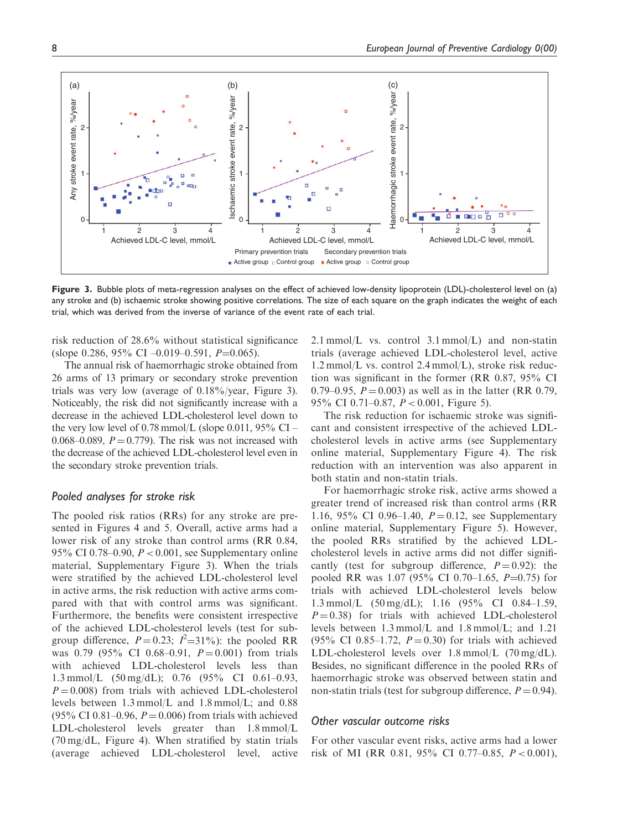

Figure 3. Bubble plots of meta-regression analyses on the effect of achieved low-density lipoprotein (LDL)-cholesterol level on (a) any stroke and (b) ischaemic stroke showing positive correlations. The size of each square on the graph indicates the weight of each trial, which was derived from the inverse of variance of the event rate of each trial.

risk reduction of 28.6% without statistical significance (slope 0.286, 95% CI –0.019–0.591,  $P=0.065$ ).

The annual risk of haemorrhagic stroke obtained from 26 arms of 13 primary or secondary stroke prevention trials was very low (average of 0.18%/year, Figure 3). Noticeably, the risk did not significantly increase with a decrease in the achieved LDL-cholesterol level down to the very low level of 0.78 mmol/L (slope 0.011,  $95\%$  CI – 0.068–0.089,  $P = 0.779$ . The risk was not increased with the decrease of the achieved LDL-cholesterol level even in the secondary stroke prevention trials.

## Pooled analyses for stroke risk

The pooled risk ratios (RRs) for any stroke are presented in Figures 4 and 5. Overall, active arms had a lower risk of any stroke than control arms (RR 0.84, 95% CI 0.78–0.90,  $P < 0.001$ , see Supplementary online material, Supplementary Figure 3). When the trials were stratified by the achieved LDL-cholesterol level in active arms, the risk reduction with active arms compared with that with control arms was significant. Furthermore, the benefits were consistent irrespective of the achieved LDL-cholesterol levels (test for subgroup difference,  $P = 0.23$ ;  $I^2 = 31\%$ ): the pooled RR was 0.79 (95% CI 0.68–0.91,  $P = 0.001$ ) from trials with achieved LDL-cholesterol levels less than 1.3 mmol/L (50 mg/dL); 0.76 (95% CI 0.61–0.93,  $P = 0.008$ ) from trials with achieved LDL-cholesterol levels between 1.3 mmol/L and 1.8 mmol/L; and 0.88  $(95\% \text{ CI } 0.81 - 0.96, P = 0.006)$  from trials with achieved LDL-cholesterol levels greater than 1.8 mmol/L (70 mg/dL, Figure 4). When stratified by statin trials (average achieved LDL-cholesterol level, active 2.1 mmol/L vs. control  $3.1$  mmol/L) and non-statin trials (average achieved LDL-cholesterol level, active 1.2 mmol/L vs. control 2.4 mmol/L), stroke risk reduction was significant in the former (RR 0.87, 95% CI 0.79–0.95,  $P = 0.003$ ) as well as in the latter (RR 0.79, 95% CI 0.71–0.87, P < 0.001, Figure 5).

The risk reduction for ischaemic stroke was significant and consistent irrespective of the achieved LDLcholesterol levels in active arms (see Supplementary online material, Supplementary Figure 4). The risk reduction with an intervention was also apparent in both statin and non-statin trials.

For haemorrhagic stroke risk, active arms showed a greater trend of increased risk than control arms (RR 1.16, 95% CI 0.96–1.40,  $P = 0.12$ , see Supplementary online material, Supplementary Figure 5). However, the pooled RRs stratified by the achieved LDLcholesterol levels in active arms did not differ significantly (test for subgroup difference,  $P = 0.92$ ): the pooled RR was 1.07 (95% CI 0.70–1.65,  $P=0.75$ ) for trials with achieved LDL-cholesterol levels below 1.3 mmol/L (50 mg/dL); 1.16 (95% CI 0.84–1.59,  $P = 0.38$ ) for trials with achieved LDL-cholesterol levels between 1.3 mmol/L and 1.8 mmol/L; and 1.21 (95% CI 0.85–1.72,  $P = 0.30$ ) for trials with achieved LDL-cholesterol levels over 1.8 mmol/L (70 mg/dL). Besides, no significant difference in the pooled RRs of haemorrhagic stroke was observed between statin and non-statin trials (test for subgroup difference,  $P = 0.94$ ).

### Other vascular outcome risks

For other vascular event risks, active arms had a lower risk of MI (RR 0.81, 95% CI 0.77–0.85, P < 0.001),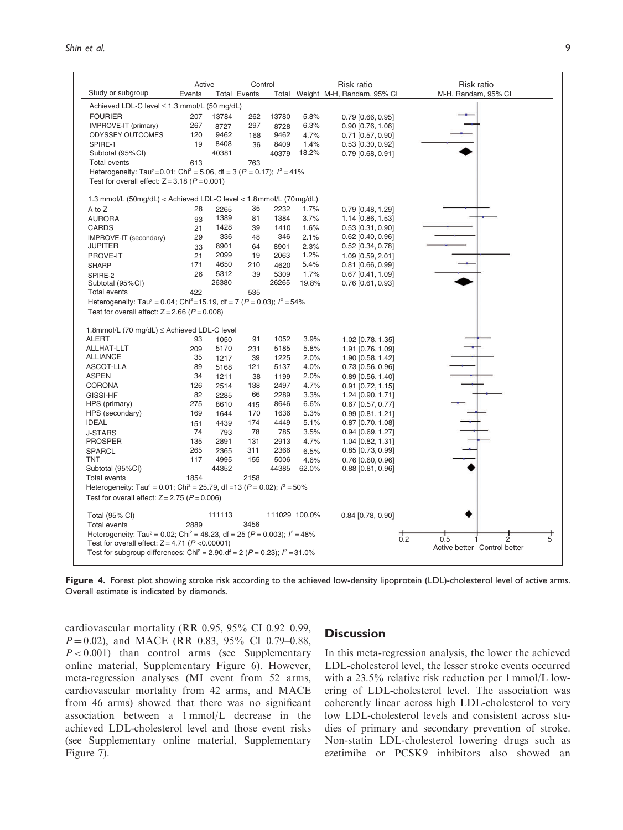|                                                                                                                                                       | Active |                     | Control |       |               | Risk ratio                       | Risk ratio                        |
|-------------------------------------------------------------------------------------------------------------------------------------------------------|--------|---------------------|---------|-------|---------------|----------------------------------|-----------------------------------|
| Study or subgroup                                                                                                                                     | Events | <b>Total Events</b> |         |       |               | Total Weight M-H, Randam, 95% CI | M-H, Randam, 95% CI               |
| Achieved LDL-C level ≤ 1.3 mmol/L (50 mg/dL)                                                                                                          |        |                     |         |       |               |                                  |                                   |
| <b>FOURIER</b>                                                                                                                                        | 207    | 13784               | 262     | 13780 | 5.8%          | 0.79 [0.66, 0.95]                |                                   |
| IMPROVE-IT (primary)                                                                                                                                  | 267    | 8727                | 297     | 8728  | 6.3%          | $0.90$ [0.76, 1.06]              |                                   |
| <b>ODYSSEY OUTCOMES</b>                                                                                                                               | 120    | 9462                | 168     | 9462  | 4.7%          | 0.71 [0.57, 0.90]                |                                   |
| SPIRE-1                                                                                                                                               | 19     | 8408                | 36      | 8409  | 1.4%          | $0.53$ [0.30, 0.92]              |                                   |
| Subtotal (95%CI)                                                                                                                                      |        | 40381               |         | 40379 | 18.2%         | $0.79$ [0.68, 0.91]              |                                   |
| <b>Total events</b>                                                                                                                                   | 613    |                     | 763     |       |               |                                  |                                   |
| Heterogeneity: Tau <sup>2</sup> =0.01; Chi <sup>2</sup> = 5.06, df = 3 (P = 0.17); $l^2$ = 41%<br>Test for overall effect: $Z = 3.18$ ( $P = 0.001$ ) |        |                     |         |       |               |                                  |                                   |
|                                                                                                                                                       |        |                     |         |       |               |                                  |                                   |
| 1.3 mmol/L (50mg/dL) < Achieved LDL-C level < 1.8 mmol/L (70mg/dL)                                                                                    |        |                     |         |       |               |                                  |                                   |
| A to Z                                                                                                                                                | 28     | 2265                | 35      | 2232  | 1.7%          | 0.79 [0.48, 1.29]                |                                   |
| <b>AURORA</b>                                                                                                                                         | 93     | 1389                | 81      | 1384  | 3.7%          | 1.14 [0.86, 1.53]                |                                   |
| <b>CARDS</b>                                                                                                                                          | 21     | 1428                | 39      | 1410  | 1.6%          | $0.53$ [0.31, 0.90]              |                                   |
| IMPROVE-IT (secondary)                                                                                                                                | 29     | 336                 | 48      | 346   | 2.1%          | $0.62$ [0.40, 0.96]              |                                   |
| <b>JUPITER</b>                                                                                                                                        | 33     | 8901                | 64      | 8901  | 2.3%          | $0.52$ [0.34, 0.78]              |                                   |
| PROVE-IT                                                                                                                                              | 21     | 2099                | 19      | 2063  | 1.2%          | 1.09 [0.59, 2.01]                |                                   |
| <b>SHARP</b>                                                                                                                                          | 171    | 4650                | 210     | 4620  | 5.4%          | $0.81$ [0.66, 0.99]              |                                   |
| SPIRE-2                                                                                                                                               | 26     | 5312                | 39      | 5309  | 1.7%          | $0.67$ [0.41, 1.09]              |                                   |
| Subtotal (95%CI)                                                                                                                                      |        | 26380               |         | 26265 | 19.8%         | $0.76$ [0.61, 0.93]              |                                   |
| <b>Total events</b>                                                                                                                                   | 422    |                     | 535     |       |               |                                  |                                   |
| Heterogeneity: Tau <sup>2</sup> = 0.04; Chi <sup>2</sup> = 15.19, df = 7 (P = 0.03); $l^2$ = 54%                                                      |        |                     |         |       |               |                                  |                                   |
| Test for overall effect: $Z = 2.66$ ( $P = 0.008$ )                                                                                                   |        |                     |         |       |               |                                  |                                   |
|                                                                                                                                                       |        |                     |         |       |               |                                  |                                   |
| 1.8mmol/L (70 mg/dL) ≤ Achieved LDL-C level                                                                                                           |        |                     |         |       |               |                                  |                                   |
| <b>ALERT</b>                                                                                                                                          | 93     | 1050                | 91      | 1052  | 3.9%          | 1.02 [0.78, 1.35]                |                                   |
| ALLHAT-LLT                                                                                                                                            | 209    | 5170                | 231     | 5185  | 5.8%          | 1.91 [0.76, 1.09]                |                                   |
| <b>ALLIANCE</b>                                                                                                                                       | 35     | 1217                | 39      | 1225  | 2.0%          | 1.90 [0.58, 1.42]                |                                   |
| ASCOT-LLA                                                                                                                                             | 89     | 5168                | 121     | 5137  | 4.0%          | $0.73$ [0.56, 0.96]              |                                   |
| <b>ASPEN</b>                                                                                                                                          | 34     | 1211                | 38      | 1199  | 2.0%          | $0.89$ [0.56, 1.40]              |                                   |
| <b>CORONA</b>                                                                                                                                         | 126    | 2514                | 138     | 2497  | 4.7%          | $0.91$ [0.72, 1.15]              |                                   |
| GISSI-HF                                                                                                                                              | 82     | 2285                | 66      | 2289  | 3.3%          | 1.24 [0.90, 1.71]                |                                   |
| HPS (primary)                                                                                                                                         | 275    | 8610                | 415     | 8646  | 6.6%          | $0.67$ [0.57, 0.77]              |                                   |
| HPS (secondary)                                                                                                                                       | 169    | 1644                | 170     | 1636  | 5.3%          | $0.99$ [0.81, 1.21]              |                                   |
| <b>IDEAL</b>                                                                                                                                          | 151    | 4439                | 174     | 4449  | 5.1%          | $0.87$ [0.70, 1.08]              |                                   |
| <b>J-STARS</b>                                                                                                                                        | 74     | 793                 | 78      | 785   | 3.5%          | 0.94 [0.69, 1.27]                |                                   |
| <b>PROSPER</b>                                                                                                                                        | 135    | 2891                | 131     | 2913  | 4.7%          | 1.04 [0.82, 1.31]                |                                   |
| <b>SPARCL</b>                                                                                                                                         | 265    | 2365                | 311     | 2366  | 6.5%          | $0.85$ [0.73, 0.99]              |                                   |
| TNT                                                                                                                                                   | 117    | 4995                | 155     | 5006  | 4.6%          | 0.76 [0.60, 0.96]                |                                   |
| Subtotal (95%CI)                                                                                                                                      |        | 44352               |         | 44385 | 62.0%         | $0.88$ [0.81, 0.96]              |                                   |
| <b>Total events</b>                                                                                                                                   | 1854   |                     | 2158    |       |               |                                  |                                   |
| Heterogeneity: Tau <sup>2</sup> = 0.01; Chi <sup>2</sup> = 25.79, df =13 (P = 0.02); $l^2$ = 50%                                                      |        |                     |         |       |               |                                  |                                   |
| Test for overall effect: $Z = 2.75$ ( $P = 0.006$ )                                                                                                   |        |                     |         |       |               |                                  |                                   |
| Total (95% CI)                                                                                                                                        |        | 111113              |         |       | 111029 100.0% | $0.84$ [0.78, 0.90]              |                                   |
| <b>Total events</b>                                                                                                                                   | 2889   |                     | 3456    |       |               |                                  |                                   |
| Heterogeneity: Tau <sup>2</sup> = 0.02; Chi <sup>2</sup> = 48.23, df = 25 (P = 0.003); $l^2 = 48\%$                                                   |        |                     |         |       |               |                                  |                                   |
| Test for overall effect: $Z = 4.71$ ( $P < 0.00001$ )                                                                                                 |        |                     |         |       |               |                                  | $\overline{5}$<br>0.2<br>0.5<br>ż |
| Test for subgroup differences: Chi <sup>2</sup> = 2.90, df = 2 ( $P = 0.23$ ); $l^2 = 31.0\%$                                                         |        |                     |         |       |               |                                  | Active better Control better      |
|                                                                                                                                                       |        |                     |         |       |               |                                  |                                   |

Figure 4. Forest plot showing stroke risk according to the achieved low-density lipoprotein (LDL)-cholesterol level of active arms. Overall estimate is indicated by diamonds.

cardiovascular mortality (RR 0.95, 95% CI 0.92–0.99,  $P = 0.02$ ), and MACE (RR 0.83, 95% CI 0.79–0.88,  $P < 0.001$ ) than control arms (see Supplementary online material, Supplementary Figure 6). However, meta-regression analyses (MI event from 52 arms, cardiovascular mortality from 42 arms, and MACE from 46 arms) showed that there was no significant association between a 1 mmol/L decrease in the achieved LDL-cholesterol level and those event risks (see Supplementary online material, Supplementary Figure 7).

# **Discussion**

In this meta-regression analysis, the lower the achieved LDL-cholesterol level, the lesser stroke events occurred with a 23.5% relative risk reduction per 1 mmol/L lowering of LDL-cholesterol level. The association was coherently linear across high LDL-cholesterol to very low LDL-cholesterol levels and consistent across studies of primary and secondary prevention of stroke. Non-statin LDL-cholesterol lowering drugs such as ezetimibe or PCSK9 inhibitors also showed an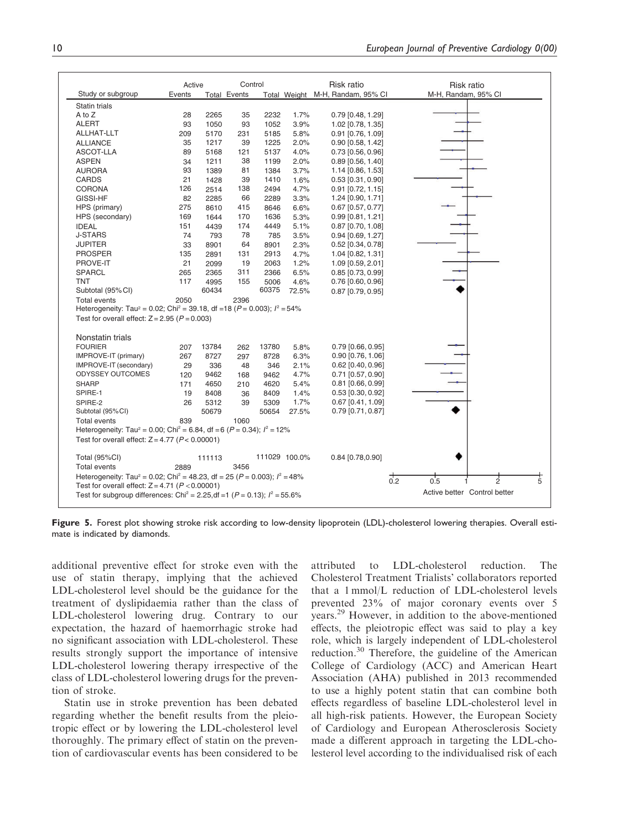|                                                                                                         | Active |        | Control             |       |               | Risk ratio                       | Risk ratio                                  |
|---------------------------------------------------------------------------------------------------------|--------|--------|---------------------|-------|---------------|----------------------------------|---------------------------------------------|
| Study or subgroup                                                                                       | Events |        | <b>Total Events</b> |       |               | Total Weight M-H, Randam, 95% CI | M-H, Randam, 95% Cl                         |
| Statin trials                                                                                           |        |        |                     |       |               |                                  |                                             |
| A to Z                                                                                                  | 28     | 2265   | 35                  | 2232  | 1.7%          | 0.79 [0.48, 1.29]                |                                             |
| <b>ALERT</b>                                                                                            | 93     | 1050   | 93                  | 1052  | 3.9%          | 1.02 [0.78, 1.35]                |                                             |
| ALLHAT-LLT                                                                                              | 209    | 5170   | 231                 | 5185  | 5.8%          | $0.91$ [0.76, 1.09]              |                                             |
| <b>ALLIANCE</b>                                                                                         | 35     | 1217   | 39                  | 1225  | 2.0%          | $0.90$ [0.58, 1.42]              |                                             |
| ASCOT-LLA                                                                                               | 89     | 5168   | 121                 | 5137  | 4.0%          | 0.73 [0.56, 0.96]                |                                             |
| <b>ASPEN</b>                                                                                            | 34     | 1211   | 38                  | 1199  | 2.0%          | $0.89$ [0.56, 1.40]              |                                             |
| <b>AURORA</b>                                                                                           | 93     | 1389   | 81                  | 1384  | 3.7%          | 1.14 [0.86, 1.53]                |                                             |
| <b>CARDS</b>                                                                                            | 21     | 1428   | 39                  | 1410  | 1.6%          | $0.53$ [0.31, 0.90]              |                                             |
| <b>CORONA</b>                                                                                           | 126    | 2514   | 138                 | 2494  | 4.7%          | $0.91$ [0.72, 1.15]              |                                             |
| GISSI-HF                                                                                                | 82     | 2285   | 66                  | 2289  | 3.3%          | 1.24 [0.90, 1.71]                |                                             |
| HPS (primary)                                                                                           | 275    | 8610   | 415                 | 8646  | 6.6%          | $0.67$ [0.57, 0.77]              |                                             |
| HPS (secondary)                                                                                         | 169    | 1644   | 170                 | 1636  | 5.3%          | $0.99$ [0.81, 1.21]              |                                             |
| <b>IDEAL</b>                                                                                            | 151    | 4439   | 174                 | 4449  | 5.1%          | $0.87$ [0.70, 1.08]              |                                             |
| <b>J-STARS</b>                                                                                          | 74     | 793    | 78                  | 785   | 3.5%          | 0.94 [0.69, 1.27]                |                                             |
| JUPITER                                                                                                 | 33     | 8901   | 64                  | 8901  | 2.3%          | $0.52$ [0.34, 0.78]              |                                             |
| <b>PROSPER</b>                                                                                          | 135    | 2891   | 131                 | 2913  | 4.7%          | 1.04 [0.82, 1.31]                |                                             |
| PROVE-IT                                                                                                | 21     | 2099   | 19                  | 2063  | 1.2%          | 1.09 [0.59, 2.01]                |                                             |
| <b>SPARCL</b>                                                                                           | 265    | 2365   | 311                 | 2366  | 6.5%          | $0.85$ [0.73, 0.99]              |                                             |
| <b>TNT</b>                                                                                              | 117    | 4995   | 155                 | 5006  | 4.6%          | $0.76$ [0.60, 0.96]              |                                             |
| Subtotal (95% CI)                                                                                       |        | 60434  |                     | 60375 | 72.5%         | $0.87$ [0.79, 0.95]              |                                             |
| <b>Total events</b>                                                                                     | 2050   |        | 2396                |       |               |                                  |                                             |
| Heterogeneity: Tau <sup>2</sup> = 0.02; Chi <sup>2</sup> = 39.18, df = 18 ( $P = 0.003$ ); $I^2 = 54\%$ |        |        |                     |       |               |                                  |                                             |
| Test for overall effect: $Z = 2.95$ ( $P = 0.003$ )                                                     |        |        |                     |       |               |                                  |                                             |
| Nonstatin trials                                                                                        |        |        |                     |       |               |                                  |                                             |
| <b>FOURIER</b>                                                                                          | 207    | 13784  | 262                 | 13780 | 5.8%          | 0.79 [0.66, 0.95]                |                                             |
| IMPROVE-IT (primary)                                                                                    | 267    | 8727   | 297                 | 8728  | 6.3%          | $0.90$ [0.76, 1.06]              |                                             |
| IMPROVE-IT (secondary)                                                                                  | 29     | 336    | 48                  | 346   | 2.1%          | 0.62 [0.40, 0.96]                |                                             |
| <b>ODYSSEY OUTCOMES</b>                                                                                 | 120    | 9462   | 168                 | 9462  | 4.7%          | 0.71 [0.57, 0.90]                |                                             |
| <b>SHARP</b>                                                                                            | 171    | 4650   | 210                 | 4620  | 5.4%          | $0.81$ [0.66, 0.99]              |                                             |
| SPIRE-1                                                                                                 | 19     | 8408   | 36                  | 8409  | 1.4%          | $0.53$ [0.30, 0.92]              |                                             |
| SPIRE-2                                                                                                 | 26     | 5312   | 39                  | 5309  | 1.7%          | 0.67 [0.41, 1.09]                |                                             |
| Subtotal (95%CI)                                                                                        |        | 50679  |                     | 50654 | 27.5%         | $0.79$ [0.71, 0.87]              |                                             |
| <b>Total events</b>                                                                                     | 839    |        | 1060                |       |               |                                  |                                             |
| Heterogeneity: Tau <sup>2</sup> = 0.00; Chi <sup>2</sup> = 6.84, df = 6 ( $P = 0.34$ ); $l^2 = 12\%$    |        |        |                     |       |               |                                  |                                             |
| Test for overall effect: $Z = 4.77$ ( $P < 0.00001$ )                                                   |        |        |                     |       |               |                                  |                                             |
| Total (95%CI)                                                                                           |        | 111113 |                     |       | 111029 100.0% | 0.84 [0.78,0.90]                 |                                             |
| <b>Total events</b>                                                                                     | 2889   |        | 3456                |       |               |                                  |                                             |
| Heterogeneity: Tau <sup>2</sup> = 0.02; Chi <sup>2</sup> = 48.23, df = 25 ( $P = 0.003$ ); $I^2 = 48\%$ |        |        |                     |       |               |                                  |                                             |
| Test for overall effect: $Z = 4.71$ ( $P < 0.00001$ )                                                   |        |        |                     |       |               |                                  | $rac{+}{0.2}$<br>$\overline{5}$<br>0.5<br>ż |
| Test for subgroup differences: Chi <sup>2</sup> = 2.25, df = 1 ( $P = 0.13$ ); $I^2 = 55.6\%$           |        |        |                     |       |               |                                  | Active better Control better                |
|                                                                                                         |        |        |                     |       |               |                                  |                                             |

Figure 5. Forest plot showing stroke risk according to low-density lipoprotein (LDL)-cholesterol lowering therapies. Overall estimate is indicated by diamonds.

additional preventive effect for stroke even with the use of statin therapy, implying that the achieved LDL-cholesterol level should be the guidance for the treatment of dyslipidaemia rather than the class of LDL-cholesterol lowering drug. Contrary to our expectation, the hazard of haemorrhagic stroke had no significant association with LDL-cholesterol. These results strongly support the importance of intensive LDL-cholesterol lowering therapy irrespective of the class of LDL-cholesterol lowering drugs for the prevention of stroke.

Statin use in stroke prevention has been debated regarding whether the benefit results from the pleiotropic effect or by lowering the LDL-cholesterol level thoroughly. The primary effect of statin on the prevention of cardiovascular events has been considered to be attributed to LDL-cholesterol reduction. The Cholesterol Treatment Trialists' collaborators reported that a 1 mmol/L reduction of LDL-cholesterol levels prevented 23% of major coronary events over 5 years.<sup>29</sup> However, in addition to the above-mentioned effects, the pleiotropic effect was said to play a key role, which is largely independent of LDL-cholesterol reduction.<sup>30</sup> Therefore, the guideline of the American College of Cardiology (ACC) and American Heart Association (AHA) published in 2013 recommended to use a highly potent statin that can combine both effects regardless of baseline LDL-cholesterol level in all high-risk patients. However, the European Society of Cardiology and European Atherosclerosis Society made a different approach in targeting the LDL-cholesterol level according to the individualised risk of each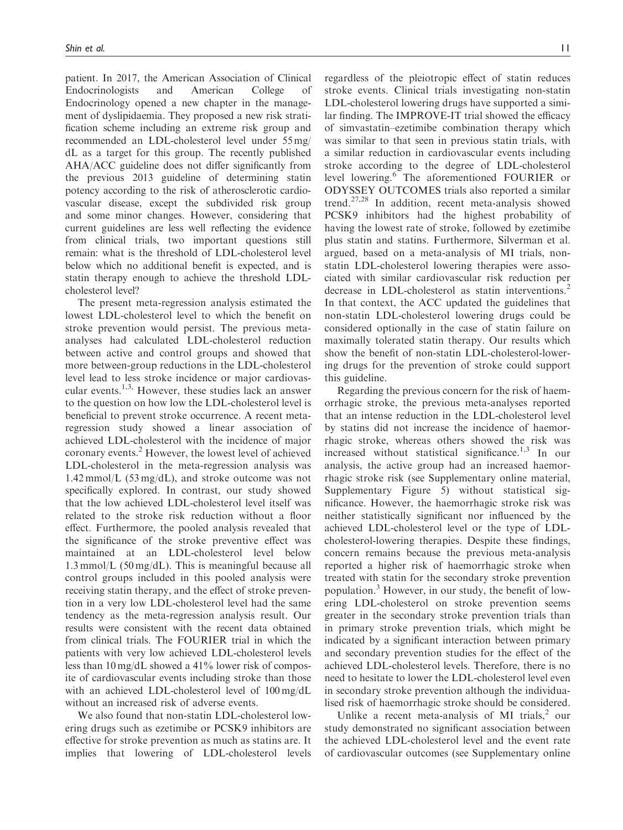patient. In 2017, the American Association of Clinical Endocrinologists and American College of Endocrinology opened a new chapter in the management of dyslipidaemia. They proposed a new risk stratification scheme including an extreme risk group and recommended an LDL-cholesterol level under 55 mg/ dL as a target for this group. The recently published AHA/ACC guideline does not differ significantly from the previous 2013 guideline of determining statin potency according to the risk of atherosclerotic cardiovascular disease, except the subdivided risk group and some minor changes. However, considering that current guidelines are less well reflecting the evidence from clinical trials, two important questions still remain: what is the threshold of LDL-cholesterol level below which no additional benefit is expected, and is statin therapy enough to achieve the threshold LDLcholesterol level?

The present meta-regression analysis estimated the lowest LDL-cholesterol level to which the benefit on stroke prevention would persist. The previous metaanalyses had calculated LDL-cholesterol reduction between active and control groups and showed that more between-group reductions in the LDL-cholesterol level lead to less stroke incidence or major cardiovascular events.<sup>1,3,</sup> However, these studies lack an answer to the question on how low the LDL-cholesterol level is beneficial to prevent stroke occurrence. A recent metaregression study showed a linear association of achieved LDL-cholesterol with the incidence of major coronary events.<sup>2</sup> However, the lowest level of achieved LDL-cholesterol in the meta-regression analysis was 1.42 mmol/L (53 mg/dL), and stroke outcome was not specifically explored. In contrast, our study showed that the low achieved LDL-cholesterol level itself was related to the stroke risk reduction without a floor effect. Furthermore, the pooled analysis revealed that the significance of the stroke preventive effect was maintained at an LDL-cholesterol level below 1.3 mmol/L (50 mg/dL). This is meaningful because all control groups included in this pooled analysis were receiving statin therapy, and the effect of stroke prevention in a very low LDL-cholesterol level had the same tendency as the meta-regression analysis result. Our results were consistent with the recent data obtained from clinical trials. The FOURIER trial in which the patients with very low achieved LDL-cholesterol levels less than 10 mg/dL showed a 41% lower risk of composite of cardiovascular events including stroke than those with an achieved LDL-cholesterol level of 100 mg/dL without an increased risk of adverse events.

We also found that non-statin LDL-cholesterol lowering drugs such as ezetimibe or PCSK9 inhibitors are effective for stroke prevention as much as statins are. It implies that lowering of LDL-cholesterol levels regardless of the pleiotropic effect of statin reduces stroke events. Clinical trials investigating non-statin LDL-cholesterol lowering drugs have supported a similar finding. The IMPROVE-IT trial showed the efficacy of simvastatin–ezetimibe combination therapy which was similar to that seen in previous statin trials, with a similar reduction in cardiovascular events including stroke according to the degree of LDL-cholesterol level lowering.<sup>6</sup> The aforementioned FOURIER or ODYSSEY OUTCOMES trials also reported a similar trend.27,28 In addition, recent meta-analysis showed PCSK9 inhibitors had the highest probability of having the lowest rate of stroke, followed by ezetimibe plus statin and statins. Furthermore, Silverman et al. argued, based on a meta-analysis of MI trials, nonstatin LDL-cholesterol lowering therapies were associated with similar cardiovascular risk reduction per decrease in LDL-cholesterol as statin interventions.<sup>2</sup> In that context, the ACC updated the guidelines that non-statin LDL-cholesterol lowering drugs could be considered optionally in the case of statin failure on maximally tolerated statin therapy. Our results which show the benefit of non-statin LDL-cholesterol-lowering drugs for the prevention of stroke could support this guideline.

Regarding the previous concern for the risk of haemorrhagic stroke, the previous meta-analyses reported that an intense reduction in the LDL-cholesterol level by statins did not increase the incidence of haemorrhagic stroke, whereas others showed the risk was increased without statistical significance.<sup>1,3</sup> In our analysis, the active group had an increased haemorrhagic stroke risk (see Supplementary online material, Supplementary Figure 5) without statistical significance. However, the haemorrhagic stroke risk was neither statistically significant nor influenced by the achieved LDL-cholesterol level or the type of LDLcholesterol-lowering therapies. Despite these findings, concern remains because the previous meta-analysis reported a higher risk of haemorrhagic stroke when treated with statin for the secondary stroke prevention population.<sup>3</sup> However, in our study, the benefit of lowering LDL-cholesterol on stroke prevention seems greater in the secondary stroke prevention trials than in primary stroke prevention trials, which might be indicated by a significant interaction between primary and secondary prevention studies for the effect of the achieved LDL-cholesterol levels. Therefore, there is no need to hesitate to lower the LDL-cholesterol level even in secondary stroke prevention although the individualised risk of haemorrhagic stroke should be considered.

Unlike a recent meta-analysis of MI trials,  $\sim$  our study demonstrated no significant association between the achieved LDL-cholesterol level and the event rate of cardiovascular outcomes (see Supplementary online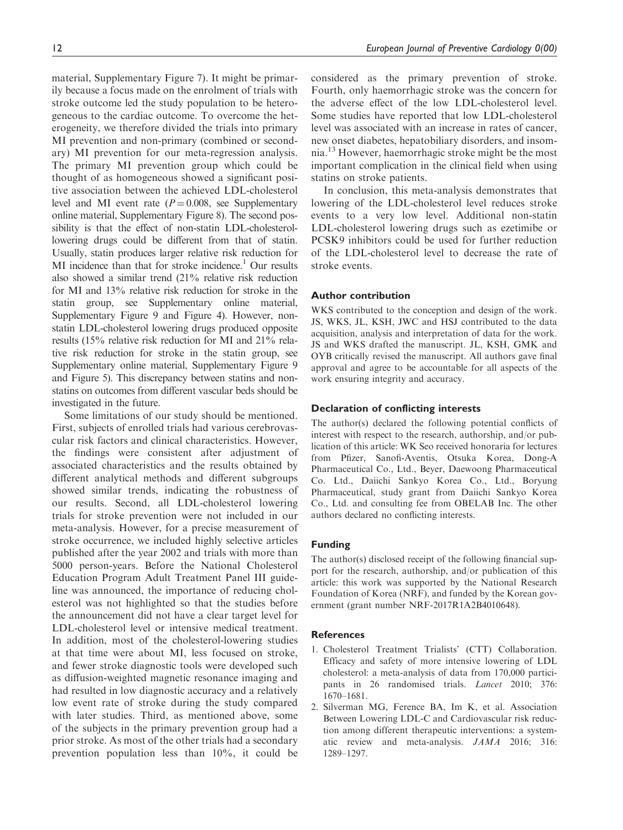material, Supplementary Figure 7). It might be primarily because a focus made on the enrolment of trials with stroke outcome led the study population to be heterogeneous to the cardiac outcome. To overcome the heterogeneity, we therefore divided the trials into primary MI prevention and non-primary (combined or secondary) MI prevention for our meta-regression analysis. The primary MI prevention group which could be thought of as homogeneous showed a significant positive association between the achieved LDL-cholesterol level and MI event rate  $(P= 0.008$ , see Supplementary online material, Supplementary Figure 8). The second possibility is that the effect of non-statin LDL-cholesterollowering drugs could be different from that of statin. Usually, statin produces larger relative risk reduction for MI incidence than that for stroke incidence.<sup>1</sup> Our results also showed a similar trend (21% relative risk reduction for MI and 13% relative risk reduction for stroke in the statin group, see Supplementary online material, Supplementary Figure 9 and Figure 4). However, nonstatin LDL-cholesterol lowering drugs produced opposite results (15% relative risk reduction for MI and 21% relative risk reduction for stroke in the statin group, see Supplementary online material, Supplementary Figure 9 and Figure 5). This discrepancy between statins and nonstatins on outcomes from different vascular beds should be investigated in the future.

Some limitations of our study should be mentioned. First, subjects of enrolled trials had various cerebrovascular risk factors and clinical characteristics. However, the findings were consistent after adjustment of associated characteristics and the results obtained by different analytical methods and different subgroups showed similar trends, indicating the robustness of our results. Second, all LDL-cholesterol lowering trials for stroke prevention were not included in our meta-analysis. However, for a precise measurement of stroke occurrence, we included highly selective articles published after the year 2002 and trials with more than 5000 person-years. Before the National Cholesterol Education Program Adult Treatment Panel III guideline was announced, the importance of reducing cholesterol was not highlighted so that the studies before the announcement did not have a clear target level for LDL-cholesterol level or intensive medical treatment. In addition, most of the cholesterol-lowering studies at that time were about MI, less focused on stroke, and fewer stroke diagnostic tools were developed such as diffusion-weighted magnetic resonance imaging and had resulted in low diagnostic accuracy and a relatively low event rate of stroke during the study compared with later studies. Third, as mentioned above, some of the subjects in the primary prevention group had a prior stroke. As most of the other trials had a secondary prevention population less than 10%, it could be

considered as the primary prevention of stroke. Fourth, only haemorrhagic stroke was the concern for the adverse effect of the low LDL-cholesterol level. Some studies have reported that low LDL-cholesterol level was associated with an increase in rates of cancer, new onset diabetes, hepatobiliary disorders, and insomnia.<sup>13</sup> However, haemorrhagic stroke might be the most important complication in the clinical field when using statins on stroke patients.

In conclusion, this meta-analysis demonstrates that lowering of the LDL-cholesterol level reduces stroke events to a very low level. Additional non-statin LDL-cholesterol lowering drugs such as ezetimibe or PCSK9 inhibitors could be used for further reduction of the LDL-cholesterol level to decrease the rate of stroke events.

### Author contribution

WKS contributed to the conception and design of the work. JS, WKS, JL, KSH, JWC and HSJ contributed to the data acquisition, analysis and interpretation of data for the work. JS and WKS drafted the manuscript. JL, KSH, GMK and OYB critically revised the manuscript. All authors gave final approval and agree to be accountable for all aspects of the work ensuring integrity and accuracy.

#### Declaration of conflicting interests

The author(s) declared the following potential conflicts of interest with respect to the research, authorship, and/or publication of this article: WK Seo received honoraria for lectures from Pfizer, Sanofi-Aventis, Otsuka Korea, Dong-A Pharmaceutical Co., Ltd., Beyer, Daewoong Pharmaceutical Co. Ltd., Daiichi Sankyo Korea Co., Ltd., Boryung Pharmaceutical, study grant from Daiichi Sankyo Korea Co., Ltd. and consulting fee from OBELAB Inc. The other authors declared no conflicting interests.

### Funding

The author(s) disclosed receipt of the following financial support for the research, authorship, and/or publication of this article: this work was supported by the National Research Foundation of Korea (NRF), and funded by the Korean government (grant number NRF-2017R1A2B4010648).

### **References**

- 1. Cholesterol Treatment Trialists' (CTT) Collaboration. Efficacy and safety of more intensive lowering of LDL cholesterol: a meta-analysis of data from 170,000 participants in 26 randomised trials. *Lancet* 2010; 376: 1670–1681.
- 2. Silverman MG, Ference BA, Im K, et al. Association Between Lowering LDL-C and Cardiovascular risk reduction among different therapeutic interventions: a systematic review and meta-analysis. JAMA 2016; 316: 1289–1297.